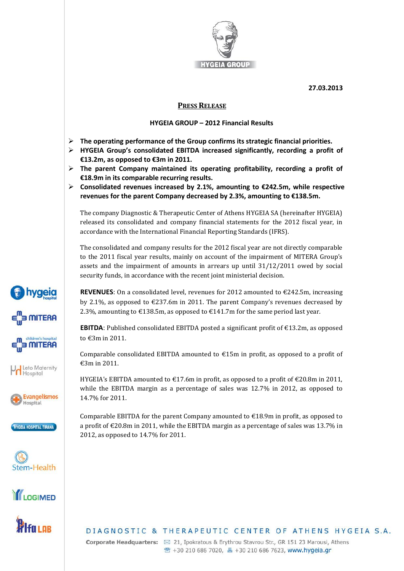

**27.03.2013**

## **PRESS RELEASE**

## **HYGEIA GROUP – 2012 Financial Results**

- **The operating performance of the Group confirms its strategic financial priorities.**
- **HYGEIA Group's consolidated EBITDA increased significantly, recording a profit of €13.2m, as opposed to €3m in 2011.**
- **The parent Company maintained its operating profitability, recording a profit of €18.9m in its comparable recurring results.**
- **Consolidated revenues increased by 2.1%, amounting to €242.5m, while respective revenues for the parent Company decreased by 2.3%, amounting to €138.5m.**

The company Diagnostic & Therapeutic Center of Athens HYGEIA SA (hereinafter HYGEIA) released its consolidated and company financial statements for the 2012 fiscal year, in accordance with the International Financial Reporting Standards (IFRS).

The consolidated and company results for the 2012 fiscal year are not directly comparable to the 2011 fiscal year results, mainly on account of the impairment of MITERA Group's assets and the impairment of amounts in arrears up until 31/12/2011 owed by social security funds, in accordance with the recent joint ministerial decision.

**REVENUES**: On a consolidated level, revenues for 2012 amounted to  $\epsilon$ 242.5m, increasing by 2.1%, as opposed to  $\epsilon$ 237.6m in 2011. The parent Company's revenues decreased by 2.3%, amounting to  $\text{\textsterling}138.5m$ , as opposed to  $\text{\textsterling}141.7m$  for the same period last year.

**EBITDA**: Published consolidated EBITDA posted a significant profit of  $\epsilon$ 13.2m, as opposed to €3m in 2011.

Comparable consolidated EBITDA amounted to  $E15m$  in profit, as opposed to a profit of €3m in 2011.

HYGEIA's EBITDA amounted to  $\epsilon$ 17.6m in profit, as opposed to a profit of  $\epsilon$ 20.8m in 2011, while the EBITDA margin as a percentage of sales was 12.7% in 2012, as opposed to 14.7% for 2011.

Comparable EBITDA for the parent Company amounted to  $\epsilon$ 18.9m in profit, as opposed to a profit of €20.8m in 2011, while the EBITDA margin as a percentage of sales was 13.7% in 2012, as opposed to 14.7% for 2011.



Corporate Headquarters: ⊠ 21, Ipokratous & Erythrou Stavrou Str., GR 151 23 Marousi, Athens <sup>2</sup> +30 210 686 7020, A +30 210 686 7623, www.hygeia.gr















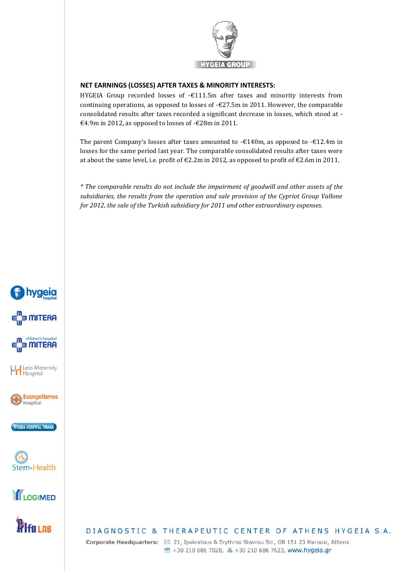

## **NET EARNINGS (LOSSES) AFTER TAXES & MINORITY INTERESTS:**

HYGEIA Group recorded losses of -€111.5m after taxes and minority interests from continuing operations, as opposed to losses of  $-\epsilon$ 27.5m in 2011. However, the comparable consolidated results after taxes recorded a significant decrease in losses, which stood at - €4.9m in 2012, as opposed to losses of -€28m in 2011.

The parent Company's losses after taxes amounted to -€140m, as opposed to -€12.4m in losses for the same period last year. The comparable consolidated results after taxes were at about the same level, i.e. profit of  $\epsilon$ 2.2m in 2012, as opposed to profit of  $\epsilon$ 2.6m in 2011.

*\* The comparable results do not include the impairment of goodwill and other assets of the subsidiaries, the results from the operation and sale provision of the Cypriot Group Vallone for 2012, the sale of the Turkish subsidiary for 2011 and other extraordinary expenses.*







DIAGNOSTIC & THERAPEUTIC CENTER OF ATHENS HYGEIA S.A.

Corporate Headquarters: ⊠ 21, Ipokratous & Erythrou Stavrou Str., GR 151 23 Marousi, Athens <sup>®</sup> +30 210 686 7020, ■ +30 210 686 7623, www.hygeia.gr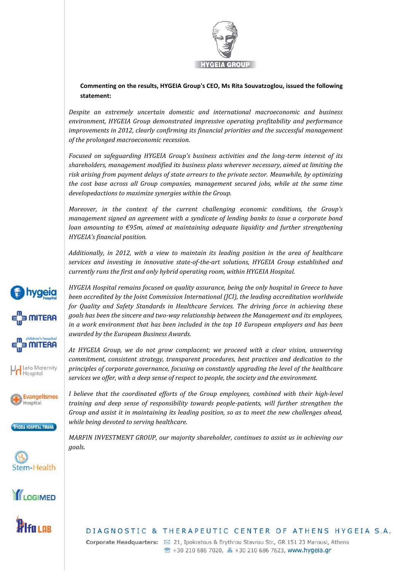

**Commenting on the results, HYGEIA Group's CEO, Ms Rita Souvatzoglou, issued the following statement:**

*Despite an extremely uncertain domestic and international macroeconomic and business environment, HYGEIA Group demonstrated impressive operating profitability and performance improvements in 2012, clearly confirming its financial priorities and the successful management of the prolonged macroeconomic recession.*

*Focused on safeguarding HYGEIA Group's business activities and the long-term interest of its shareholders, management modified its business plans wherever necessary, aimed at limiting the risk arising from payment delays of state arrears to the private sector. Meanwhile, by optimizing the cost base across all Group companies, management secured jobs, while at the same time developedactions to maximize synergies within the Group.*

*Moreover, in the context of the current challenging economic conditions, the Group's management signed an agreement with a syndicate of lending banks to issue a corporate bond loan amounting to €95m, aimed at maintaining adequate liquidity and further strengthening HYGEIA's financial position.*

*Additionally, in 2012, with a view to maintain its leading position in the area of healthcare services and investing in innovative state-of-the-art solutions, HYGEIA Group established and currently runs the first and only hybrid operating room, within HYGEIA Hospital.*

*HYGEIA Hospital remains focused on quality assurance, being the only hospital in Greece to have been accredited by the Joint Commission International (JCI), the leading accreditation worldwide for Quality and Safety Standards in Healthcare Services. The driving force in achieving these goals has been the sincere and two-way relationship between the Management and its employees, in a work environment that has been included in the top 10 European employers and has been awarded by the European Business Awards.*

*At HYGEIA Group, we do not grow complacent; we proceed with a clear vision, unswerving commitment, consistent strategy, transparent procedures, best practices and dedication to the principles of corporate governance, focusing on constantly upgrading the level of the healthcare services we offer, with a deep sense of respect to people, the society and the environment.*

*I believe that the coordinated efforts of the Group employees, combined with their high-level training and deep sense of responsibility towards people-patients, will further strengthen the Group and assist it in maintaining its leading position, so as to meet the new challenges ahead, while being devoted to serving healthcare.*

*MARFIN INVESTMENT GROUP, our majority shareholder, continues to assist us in achieving our goals.*



Corporate Headquarters: ⊠ 21, Ipokratous & Erythrou Stavrou Str., GR 151 23 Marousi, Athens <sup>®</sup> +30 210 686 7020, <u>A</u> +30 210 686 7623, www.hygeia.gr